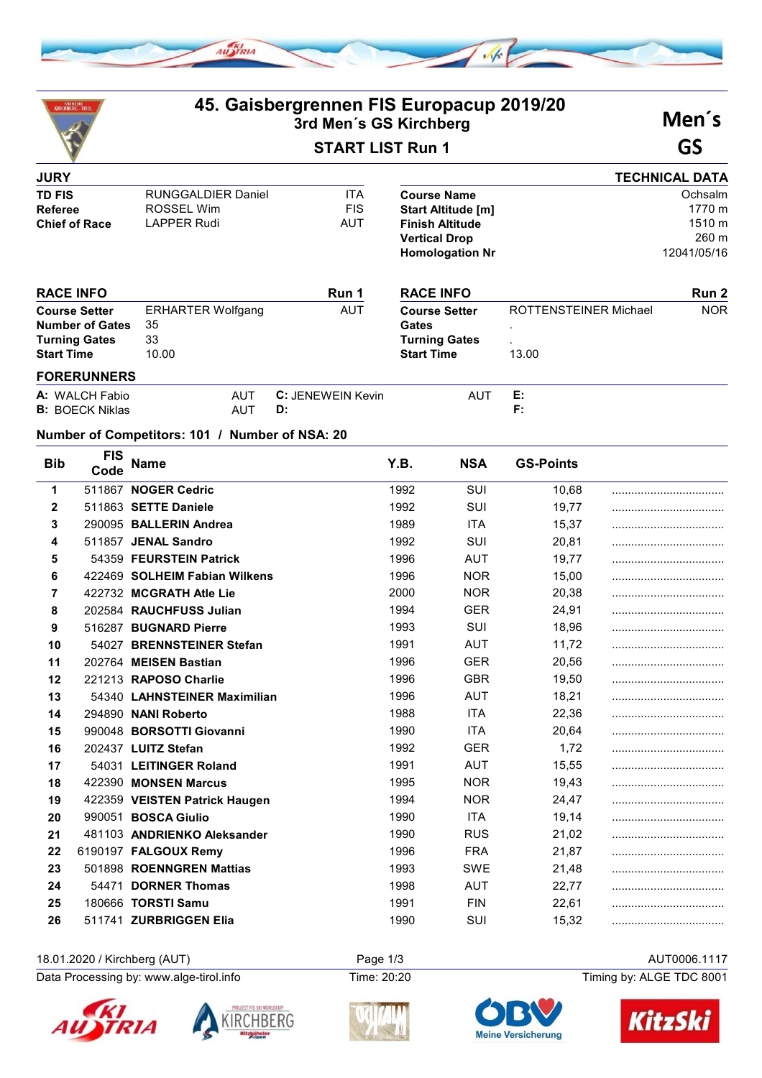

| <b>SKIKLUB</b><br>KIRCHBERG TIRO                                                            |                                                                |                                                                      | 45. Gaisbergrennen FIS Europacup 2019/20<br>3rd Men's GS Kirchberg |                                                                            |                                                                                                                             |                                | Men's                                               |  |
|---------------------------------------------------------------------------------------------|----------------------------------------------------------------|----------------------------------------------------------------------|--------------------------------------------------------------------|----------------------------------------------------------------------------|-----------------------------------------------------------------------------------------------------------------------------|--------------------------------|-----------------------------------------------------|--|
| <b>START LIST Run 1</b>                                                                     |                                                                |                                                                      |                                                                    |                                                                            | GS                                                                                                                          |                                |                                                     |  |
| <b>JURY</b>                                                                                 |                                                                |                                                                      |                                                                    |                                                                            |                                                                                                                             |                                | <b>TECHNICAL DATA</b>                               |  |
| <b>TD FIS</b><br><b>Referee</b><br><b>Chief of Race</b>                                     |                                                                | <b>RUNGGALDIER Daniel</b><br><b>ROSSEL Wim</b><br><b>LAPPER Rudi</b> | <b>ITA</b><br><b>FIS</b><br>AUT                                    |                                                                            | <b>Course Name</b><br><b>Start Altitude [m]</b><br><b>Finish Altitude</b><br><b>Vertical Drop</b><br><b>Homologation Nr</b> |                                | Ochsalm<br>1770 m<br>1510 m<br>260 m<br>12041/05/16 |  |
| <b>RACE INFO</b>                                                                            |                                                                |                                                                      | Run 1                                                              |                                                                            | <b>RACE INFO</b>                                                                                                            |                                | Run 2                                               |  |
| <b>Course Setter</b><br><b>Number of Gates</b><br><b>Turning Gates</b><br><b>Start Time</b> |                                                                | <b>ERHARTER Wolfgang</b><br>35<br>33<br>10.00                        | <b>AUT</b>                                                         | <b>Course Setter</b><br>Gates<br><b>Turning Gates</b><br><b>Start Time</b> |                                                                                                                             | ROTTENSTEINER Michael<br>13.00 | <b>NOR</b>                                          |  |
|                                                                                             | <b>FORERUNNERS</b><br>A: WALCH Fabio<br><b>B:</b> BOECK Niklas | <b>AUT</b><br><b>AUT</b>                                             | <b>C: JENEWEIN Kevin</b><br>D:                                     |                                                                            | <b>AUT</b>                                                                                                                  | Е:<br>F:                       |                                                     |  |
|                                                                                             |                                                                | Number of Competitors: 101 / Number of NSA: 20                       |                                                                    |                                                                            |                                                                                                                             |                                |                                                     |  |
| <b>Bib</b>                                                                                  | FIS<br>Code                                                    | Name                                                                 |                                                                    | Y.B.                                                                       | <b>NSA</b>                                                                                                                  | <b>GS-Points</b>               |                                                     |  |
| 1                                                                                           |                                                                | 511867 NOGER Cedric                                                  |                                                                    | 1992                                                                       | SUI                                                                                                                         | 10,68                          |                                                     |  |
| $\overline{2}$                                                                              |                                                                | 511863 SETTE Daniele                                                 |                                                                    | 1992                                                                       | SUI                                                                                                                         | 19,77                          |                                                     |  |
| 3                                                                                           |                                                                | 290095 BALLERIN Andrea                                               |                                                                    | 1989                                                                       | <b>ITA</b>                                                                                                                  | 15,37                          |                                                     |  |
| 4                                                                                           |                                                                | 511857 JENAL Sandro                                                  |                                                                    | 1992                                                                       | SUI                                                                                                                         | 20,81                          |                                                     |  |
| 5                                                                                           |                                                                | 54359 FEURSTEIN Patrick                                              |                                                                    | 1996                                                                       | <b>AUT</b>                                                                                                                  | 19,77                          |                                                     |  |
| 6                                                                                           |                                                                | 422469 SOLHEIM Fabian Wilkens                                        |                                                                    | 1996                                                                       | <b>NOR</b>                                                                                                                  | 15,00                          |                                                     |  |
| 7                                                                                           |                                                                | 422732 MCGRATH Atle Lie                                              |                                                                    | 2000                                                                       | <b>NOR</b>                                                                                                                  | 20,38                          |                                                     |  |
| 8                                                                                           |                                                                | 202584 RAUCHFUSS Julian                                              |                                                                    | 1994                                                                       | <b>GER</b>                                                                                                                  | 24,91                          |                                                     |  |
| 9                                                                                           |                                                                | 516287 BUGNARD Pierre                                                |                                                                    | 1993                                                                       | SUI                                                                                                                         | 18,96                          |                                                     |  |
| 10                                                                                          |                                                                | 54027 BRENNSTEINER Stefan                                            |                                                                    | 1991                                                                       | <b>AUT</b>                                                                                                                  | 11,72                          |                                                     |  |
| 11                                                                                          |                                                                | 202764 MEISEN Bastian                                                |                                                                    | 1996                                                                       | <b>GER</b>                                                                                                                  | 20,56                          |                                                     |  |
| 12                                                                                          |                                                                | 221213 RAPOSO Charlie                                                |                                                                    | 1996                                                                       | <b>GBR</b>                                                                                                                  | 19,50                          |                                                     |  |
| 13                                                                                          |                                                                | 54340 LAHNSTEINER Maximilian                                         |                                                                    | 1996                                                                       | <b>AUT</b>                                                                                                                  | 18,21                          |                                                     |  |
| 14                                                                                          |                                                                | 294890 NANI Roberto                                                  |                                                                    | 1988                                                                       | <b>ITA</b>                                                                                                                  | 22,36                          |                                                     |  |

| 14 | 294890 NANI Roberto           | 1988 | <b>ITA</b> | 22.36 |  |
|----|-------------------------------|------|------------|-------|--|
| 15 | 990048 BORSOTTI Giovanni      | 1990 | <b>ITA</b> | 20.64 |  |
| 16 | 202437 LUITZ Stefan           | 1992 | <b>GER</b> | 1,72  |  |
| 17 | 54031 LEITINGER Roland        | 1991 | <b>AUT</b> | 15,55 |  |
| 18 | 422390 MONSEN Marcus          | 1995 | <b>NOR</b> | 19.43 |  |
| 19 | 422359 VEISTEN Patrick Haugen | 1994 | <b>NOR</b> | 24.47 |  |
| 20 | 990051 BOSCA Giulio           | 1990 | <b>ITA</b> | 19.14 |  |
| 21 | 481103 ANDRIENKO Aleksander   | 1990 | <b>RUS</b> | 21.02 |  |
| 22 | 6190197 FALGOUX Remy          | 1996 | <b>FRA</b> | 21.87 |  |
| 23 | 501898 ROENNGREN Mattias      | 1993 | <b>SWE</b> | 21,48 |  |
| 24 | 54471 DORNER Thomas           | 1998 | AUT        | 22.77 |  |
| 25 | 180666 TORSTI Samu            | 1991 | <b>FIN</b> | 22.61 |  |
| 26 | 511741 ZURBRIGGEN Elia        | 1990 | SUI        | 15.32 |  |

18.01.2020 / Kirchberg (AUT) Page 1/3 AUT0006.1117<br>Data Processing by: www.alge-tirol.info Time: 20:20 Time: 20:20 Timing by: ALGE TDC 8001 Data Processing by: www.alge-tirol.info Time: 20:20









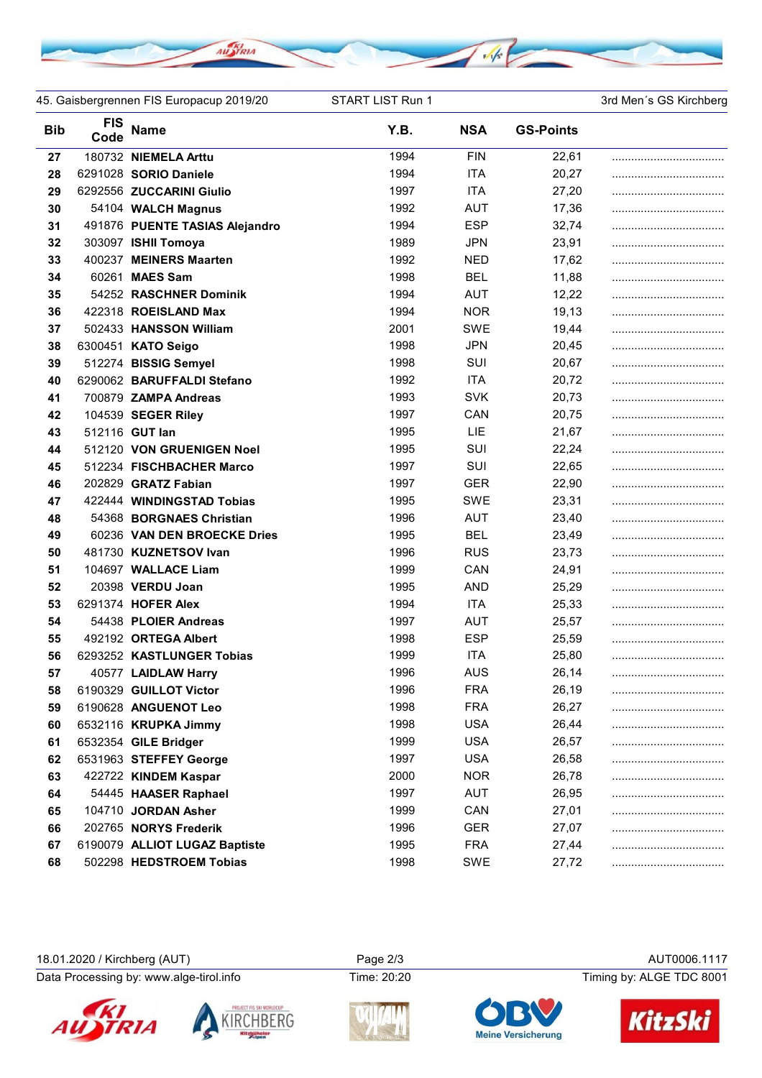

45. Gaisbergrennen FIS Europacup 2019/20 START LIST Run 1 3rd Men's GS Kirchberg

| <b>Bib</b> | <b>FIS</b><br>Code | <b>Name</b>                    | Y.B. | <b>NSA</b> | <b>GS-Points</b> |  |
|------------|--------------------|--------------------------------|------|------------|------------------|--|
| 27         |                    | 180732 NIEMELA Arttu           | 1994 | <b>FIN</b> | 22,61            |  |
| 28         |                    | 6291028 SORIO Daniele          | 1994 | <b>ITA</b> | 20,27            |  |
| 29         |                    | 6292556 ZUCCARINI Giulio       | 1997 | <b>ITA</b> | 27,20            |  |
| 30         |                    | 54104 WALCH Magnus             | 1992 | <b>AUT</b> | 17,36            |  |
| 31         |                    | 491876 PUENTE TASIAS Alejandro | 1994 | <b>ESP</b> | 32,74            |  |
| 32         |                    | 303097 ISHII Tomoya            | 1989 | <b>JPN</b> | 23,91            |  |
| 33         |                    | 400237 MEINERS Maarten         | 1992 | <b>NED</b> | 17,62            |  |
| 34         |                    | 60261 MAES Sam                 | 1998 | <b>BEL</b> | 11,88            |  |
| 35         |                    | 54252 RASCHNER Dominik         | 1994 | <b>AUT</b> | 12,22            |  |
| 36         |                    | 422318 ROEISLAND Max           | 1994 | <b>NOR</b> | 19,13            |  |
| 37         |                    | 502433 HANSSON William         | 2001 | SWE        | 19,44            |  |
| 38         |                    | 6300451 KATO Seigo             | 1998 | <b>JPN</b> | 20,45            |  |
| 39         |                    | 512274 BISSIG Semyel           | 1998 | SUI        | 20,67            |  |
| 40         |                    | 6290062 BARUFFALDI Stefano     | 1992 | <b>ITA</b> | 20,72            |  |
| 41         |                    | 700879 ZAMPA Andreas           | 1993 | <b>SVK</b> | 20,73            |  |
| 42         |                    | 104539 SEGER Riley             | 1997 | CAN        | 20,75            |  |
| 43         |                    | 512116 GUT lan                 | 1995 | LIE        | 21,67            |  |
| 44         |                    | 512120 VON GRUENIGEN Noel      | 1995 | SUI        | 22,24            |  |
| 45         |                    | 512234 FISCHBACHER Marco       | 1997 | SUI        | 22,65            |  |
| 46         |                    | 202829 GRATZ Fabian            | 1997 | <b>GER</b> | 22,90            |  |
| 47         |                    | 422444 WINDINGSTAD Tobias      | 1995 | <b>SWE</b> | 23,31            |  |
| 48         |                    | 54368 BORGNAES Christian       | 1996 | <b>AUT</b> | 23,40            |  |
| 49         |                    | 60236 VAN DEN BROECKE Dries    | 1995 | <b>BEL</b> | 23,49            |  |
| 50         |                    | 481730 KUZNETSOV Ivan          | 1996 | <b>RUS</b> | 23,73            |  |
| 51         |                    | 104697 WALLACE Liam            | 1999 | CAN        | 24,91            |  |
| 52         |                    | 20398 VERDU Joan               | 1995 | <b>AND</b> | 25,29            |  |
| 53         |                    | 6291374 HOFER Alex             | 1994 | <b>ITA</b> | 25,33            |  |
| 54         |                    | 54438 PLOIER Andreas           | 1997 | <b>AUT</b> | 25,57            |  |
| 55         |                    | 492192 ORTEGA Albert           | 1998 | <b>ESP</b> | 25,59            |  |
| 56         |                    | 6293252 KASTLUNGER Tobias      | 1999 | <b>ITA</b> | 25,80            |  |
| 57         |                    | 40577 LAIDLAW Harry            | 1996 | <b>AUS</b> | 26,14            |  |
| 58         |                    | 6190329 GUILLOT Victor         | 1996 | <b>FRA</b> | 26,19            |  |
| 59         |                    | 6190628 ANGUENOT Leo           | 1998 | <b>FRA</b> | 26,27            |  |
| 60         |                    | 6532116 KRUPKA Jimmy           | 1998 | <b>USA</b> | 26,44            |  |
| 61         |                    | 6532354 GILE Bridger           | 1999 | <b>USA</b> | 26,57            |  |
| 62         |                    | 6531963 STEFFEY George         | 1997 | <b>USA</b> | 26,58            |  |
| 63         |                    | 422722 KINDEM Kaspar           | 2000 | <b>NOR</b> | 26,78            |  |
| 64         |                    | 54445 HAASER Raphael           | 1997 | <b>AUT</b> | 26,95            |  |
| 65         |                    | 104710 JORDAN Asher            | 1999 | CAN        | 27,01            |  |
| 66         |                    | 202765 NORYS Frederik          | 1996 | <b>GER</b> | 27,07            |  |
| 67         |                    | 6190079 ALLIOT LUGAZ Baptiste  | 1995 | <b>FRA</b> | 27,44            |  |
| 68         |                    | 502298 HEDSTROEM Tobias        | 1998 | SWE        | 27,72            |  |